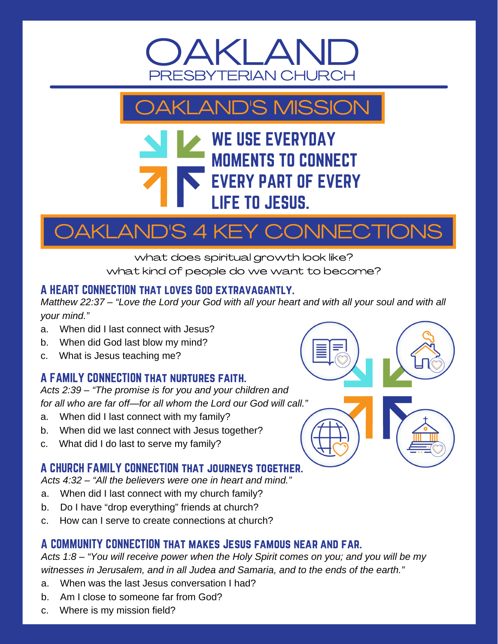



### **WE USE EVERYDAY MOMENTS TO CONNECT EVERY PART OF EVERY LIFE TO JESUS.**

# AKLAND'S 4 KEY CONNECTIONS

what does spiritual growth look like? what kind of people do we want to become?

#### A HEART CONNECTION that loves God extravagantly.

*Matthew 22:37 – "Love the Lord your God with all your heart and with all your soul and with all your mind."*

- a. When did I last connect with Jesus?
- b. When did God last blow my mind?
- c. What is Jesus teaching me?

#### A FAMILY CONNECTION that nurtures faith.

*Acts 2:39 – "The promise is for you and your children and for all who are far off—for all whom the Lord our God will call."*

- a. When did I last connect with my family?
- b. When did we last connect with Jesus together?
- c. What did I do last to serve my family?

#### A CHURCH FAMILY CONNECTION that journeys together.

*Acts 4:32 – "All the believers were one in heart and mind."*

- a. When did I last connect with my church family?
- b. Do I have "drop everything" friends at church?
- c. How can I serve to create connections at church?

#### A COMMUNITY CONNECTION that makes Jesus famous near and far.

*Acts 1:8 – "You will receive power when the Holy Spirit comes on you; and you will be my witnesses in Jerusalem, and in all Judea and Samaria, and to the ends of the earth."*

- a. When was the last Jesus conversation I had?
- b. Am I close to someone far from God?
- c. Where is my mission field?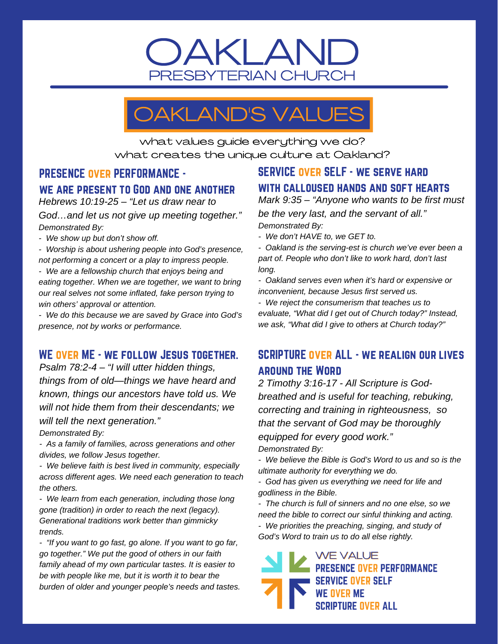### OAKLAND PRESBYTERIAN CHURCH

## OAKLAND'S VALUES

what values guide everything we do? what creates the unique culture at Oakland?

#### PRESENCE over PERFORMANCE we are present to God and one another

*Hebrews 10:19-25 – "Let us draw near to God…and let us not give up meeting together." Demonstrated By:*

*- We show up but don't show off.*

*- Worship is about ushering people into God's presence, not performing a concert or a play to impress people.*

*- We are a fellowship church that enjoys being and eating together. When we are together, we want to bring our real selves not some inflated, fake person trying to win others' approval or attention.*

*- We do this because we are saved by Grace into God's presence, not by works or performance.*

#### WE OVER ME - WE FOLLOW JESUS TOGETHER.

*Psalm 78:2-4 – "I will utter hidden things, things from of old—things we have heard and known, things our ancestors have told us. We will not hide them from their descendants; we will tell the next generation."*

*Demonstrated By:*

*- As a family of families, across generations and other divides, we follow Jesus together.*

*- We believe faith is best lived in community, especially across different ages. We need each generation to teach the others.*

*- We learn from each generation, including those long gone (tradition) in order to reach the next (legacy). Generational traditions work better than gimmicky trends.*

*- "If you want to go fast, go alone. If you want to go far, go together." We put the good of others in our faith family ahead of my own particular tastes. It is easier to be with people like me, but it is worth it to bear the burden of older and younger people's needs and tastes.*

### SERVICE over SELF - we serve hard with calloused hands and soft hearts

*Mark 9:35 – "Anyone who wants to be first must be the very last, and the servant of all." Demonstrated By:*

*- We don't HAVE to, we GET to.*

*- Oakland is the serving-est is church we've ever been a part of. People who don't like to work hard, don't last long.*

*- Oakland serves even when it's hard or expensive or inconvenient, because Jesus first served us.*

*- We reject the consumerism that teaches us to evaluate, "What did I get out of Church today?" Instead, we ask, "What did I give to others at Church today?"*

#### SCRIPTURE over ALL - we realign our lives around the Word

*2 Timothy 3:16-17 - All Scripture is Godbreathed and is useful for teaching, rebuking, correcting and training in righteousness, so that the servant of God may be thoroughly equipped for every good work." Demonstrated By:*

*- We believe the Bible is God's Word to us and so is the ultimate authority for everything we do.*

*- God has given us everything we need for life and godliness in the Bible.*

*- The church is full of sinners and no one else, so we need the bible to correct our sinful thinking and acting.*

*- We priorities the preaching, singing, and study of God's Word to train us to do all else rightly.*

**WE VALUE PRESENCE OVER PERFORMANCE SERVICE OVER SELF WE OVER ME SCRIPTURE OVER ALL**